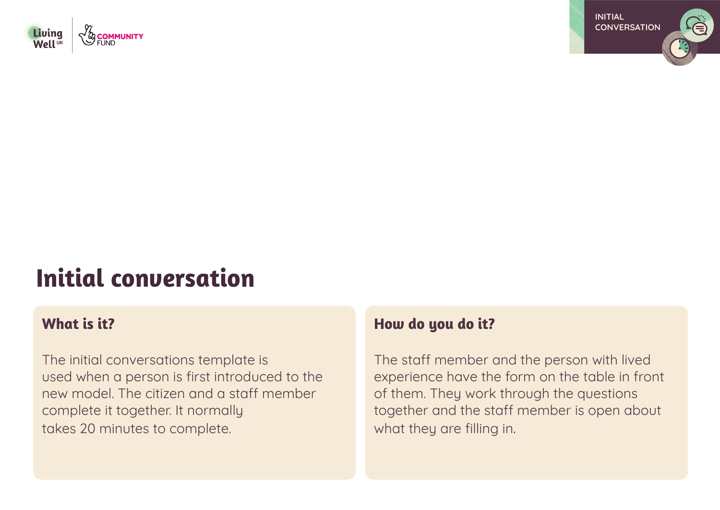



# **Initial conversation**

## **What is it?**

The initial conversations template is used when a person is first introduced to the new model. The citizen and a staff member complete it together. It normally takes 20 minutes to complete.

### **How do you do it?**

The staff member and the person with lived experience have the form on the table in front of them. They work through the questions together and the staff member is open about what they are filling in.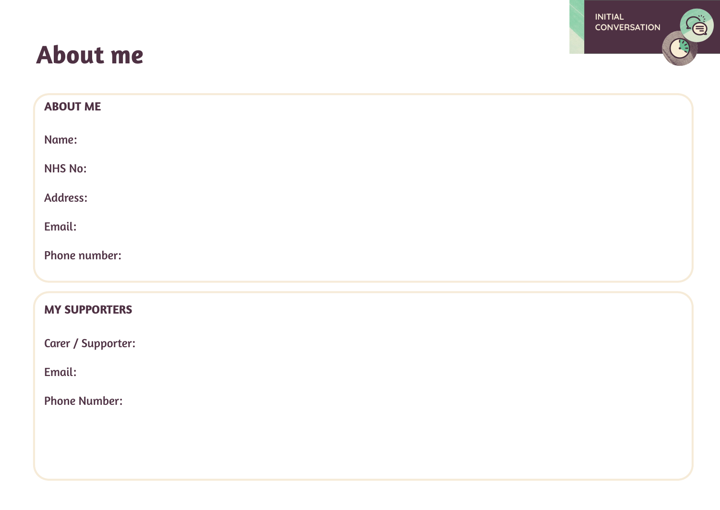## **About me**



| <b>ABOUT ME</b>      |  |
|----------------------|--|
| Name:                |  |
| <b>NHS No:</b>       |  |
| Address:             |  |
| Email:               |  |
| Phone number:        |  |
| <b>MY SUPPORTERS</b> |  |
|                      |  |
| Carer / Supporter:   |  |
| Email:               |  |
| <b>Phone Number:</b> |  |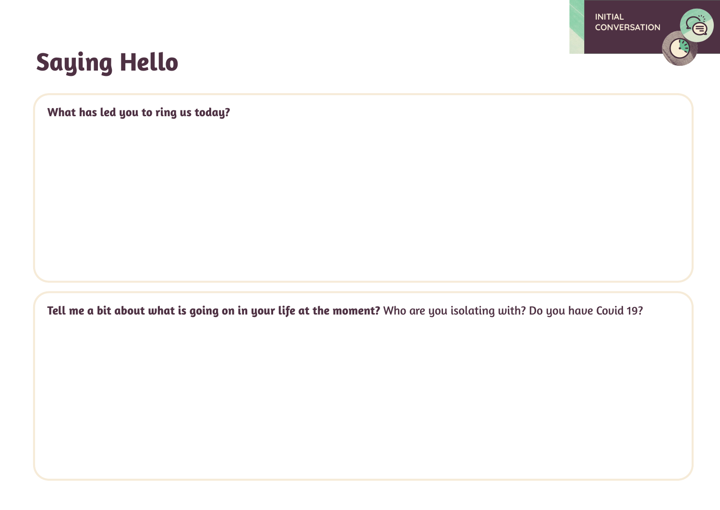

## **Saying Hello**

**What has led you to ring us today?**

**Tell me a bit about what is going on in your life at the moment?** Who are you isolating with? Do you have Covid 19?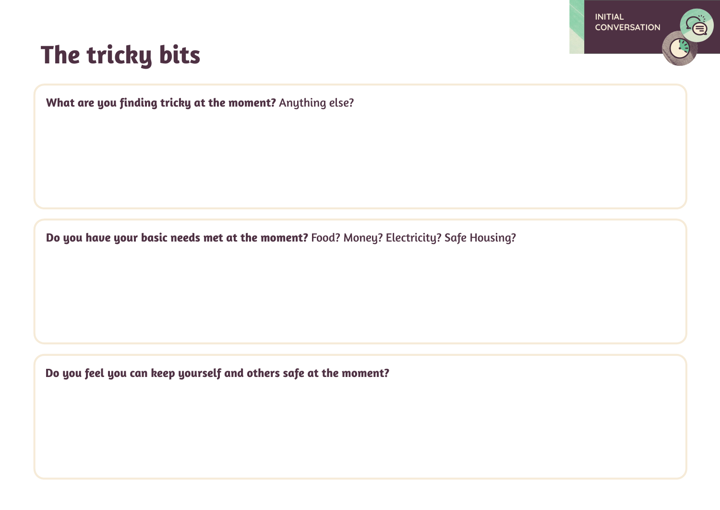

## **The tricky bits**

**What are you finding tricky at the moment?** Anything else?

**Do you have your basic needs met at the moment?** Food? Money? Electricity? Safe Housing?

**Do you feel you can keep yourself and others safe at the moment?**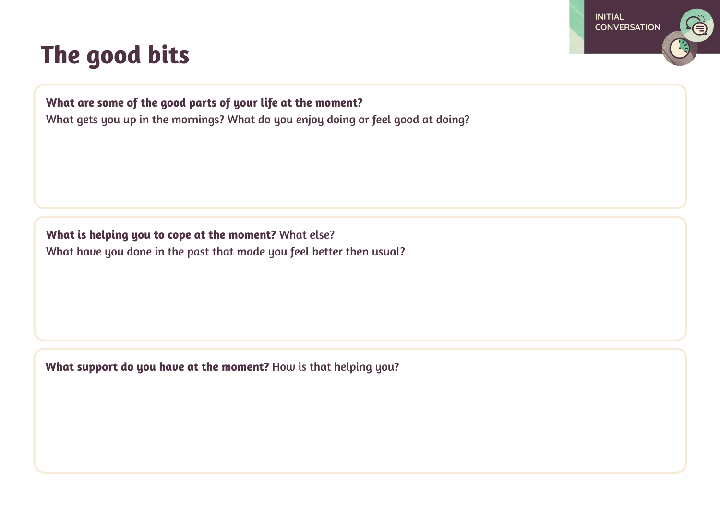## **The good bits**

# **INITIAL CONVERSATION**

### **What are some of the good parts of your life at the moment?**

What gets you up in the mornings? What do you enjoy doing or feel good at doing?

**What is helping you to cope at the moment?** What else? What have you done in the past that made you feel better then usual?

**What support do you have at the moment?** How is that helping you?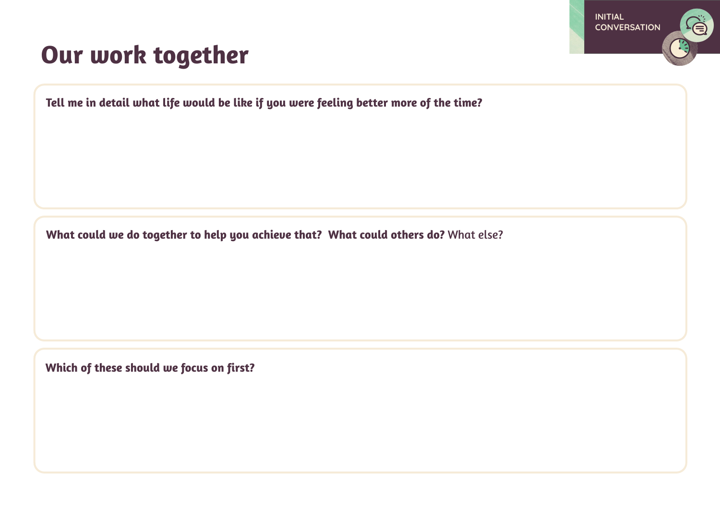

## **Our work together**

**Tell me in detail what life would be like if you were feeling better more of the time?** 

**What could we do together to help you achieve that? What could others do?** What else?

**Which of these should we focus on first?**